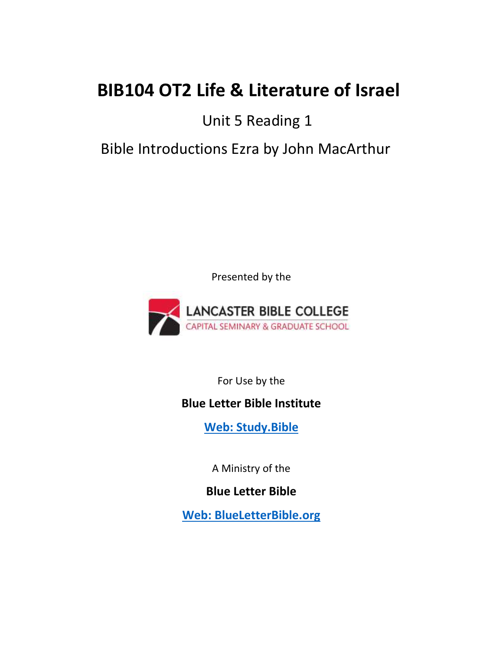# **BIB104 OT2 Life & Literature of Israel**

## Unit 5 Reading 1

## Bible Introductions Ezra by John MacArthur

Presented by the



For Use by the

### **Blue Letter Bible Institute**

**[Web: Study.Bible](https://study.bible/)**

A Ministry of the

### **Blue Letter Bible**

**[Web: BlueLetterBible.org](https://www.blueletterbible.org/)**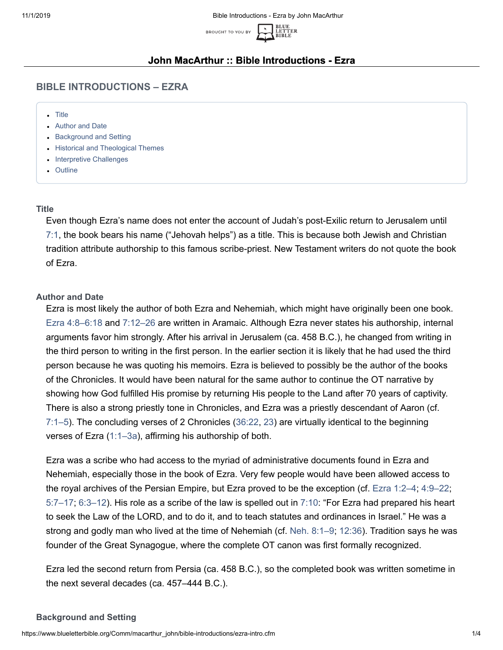BLUE<br>LETTER<br>BIBLE



#### **John MacArthur :: Bible Introductions - Ezra**

#### **BIBLE INTRODUCTIONS – EZRA**

- [Title](#page-1-0)
- [Author and Date](#page-1-1)
- **[Background and Setting](#page-1-2)**
- [Historical and Theological Themes](#page-2-0)
- [Interpretive Challenges](#page-3-0)
- [Outline](#page-4-0)

#### <span id="page-1-0"></span>**Title**

Even though Ezra's name does not enter the account of Judah's post-Exilic return to Jerusalem until [7:1](https://www.blueletterbible.org/kjv/ezra/7/1/s_410001), the book bears his name ("Jehovah helps") as a title. This is because both Jewish and Christian tradition attribute authorship to this famous scribe-priest. New Testament writers do not quote the book of Ezra.

#### <span id="page-1-1"></span>**Author and Date**

Ezra is most likely the author of both Ezra and Nehemiah, which might have originally been one book. [Ezra 4:8–6:18](https://www.blueletterbible.org/kjv/ezra/4/8-24/s_407008) and [7:12–26](https://www.blueletterbible.org/kjv/ezra/7/12-26/s_410012) are written in Aramaic. Although Ezra never states his authorship, internal arguments favor him strongly. After his arrival in Jerusalem (ca. 458 B.C.), he changed from writing in the third person to writing in the first person. In the earlier section it is likely that he had used the third person because he was quoting his memoirs. Ezra is believed to possibly be the author of the books of the Chronicles. It would have been natural for the same author to continue the OT narrative by showing how God fulfilled His promise by returning His people to the Land after 70 years of captivity. There is also a strong priestly tone in Chronicles, and Ezra was a priestly descendant of Aaron (cf. [7:1–5\)](https://www.blueletterbible.org/kjv/ezra/7/1-5/s_410001). The concluding verses of 2 Chronicles [\(36:22,](https://www.blueletterbible.org/kjv/2chronicles/36/22/s_403022) [23\)](https://www.blueletterbible.org/kjv/2chronicles/36/23/s_403023) are virtually identical to the beginning verses of Ezra [\(1:1–3a\)](https://www.blueletterbible.org/kjv/ezra/1/1-3/s_404001), affirming his authorship of both.

Ezra was a scribe who had access to the myriad of administrative documents found in Ezra and Nehemiah, especially those in the book of Ezra. Very few people would have been allowed access to the royal archives of the Persian Empire, but Ezra proved to be the exception (cf. [Ezra 1:2–4;](https://www.blueletterbible.org/kjv/ezra/1/2-4/s_404002) [4:9–22;](https://www.blueletterbible.org/kjv/ezra/4/9-22/s_407009) [5:7–17;](https://www.blueletterbible.org/kjv/ezra/5/7-17/s_408007) [6:3–12](https://www.blueletterbible.org/kjv/ezra/6/3-12/s_409003)). His role as a scribe of the law is spelled out in [7:10:](https://www.blueletterbible.org/kjv/ezra/7/10/s_410010) "For Ezra had prepared his heart to seek the Law of the LORD, and to do it, and to teach statutes and ordinances in Israel." He was a strong and godly man who lived at the time of Nehemiah (cf. [Neh. 8:1–9;](https://www.blueletterbible.org/kjv/nehemiah/8/1-9/s_421001) [12:36\)](https://www.blueletterbible.org/kjv/nehemiah/12/36/s_425036). Tradition says he was founder of the Great Synagogue, where the complete OT canon was first formally recognized.

Ezra led the second return from Persia (ca. 458 B.C.), so the completed book was written sometime in the next several decades (ca. 457–444 B.C.).

#### <span id="page-1-2"></span>**Background and Setting**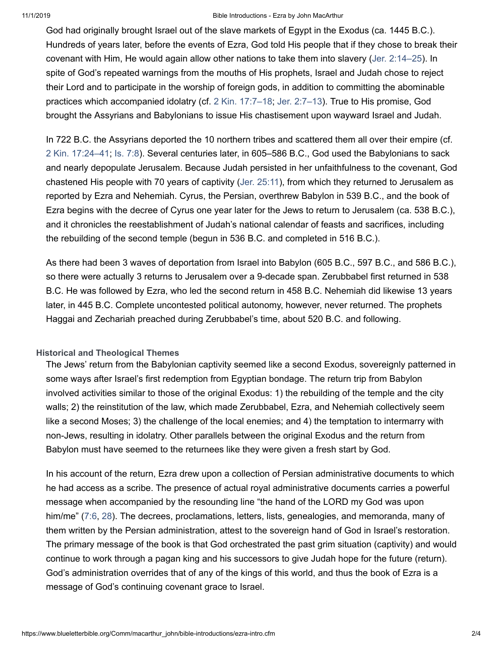#### 11/1/2019 Bible Introductions - Ezra by John MacArthur

God had originally brought Israel out of the slave markets of Egypt in the Exodus (ca. 1445 B.C.). Hundreds of years later, before the events of Ezra, God told His people that if they chose to break their covenant with Him, He would again allow other nations to take them into slavery ([Jer. 2:14–25\)](https://www.blueletterbible.org/kjv/jeremiah/2/14-25/s_747014). In spite of God's repeated warnings from the mouths of His prophets, Israel and Judah chose to reject their Lord and to participate in the worship of foreign gods, in addition to committing the abominable practices which accompanied idolatry (cf. [2 Kin. 17:7–18](https://www.blueletterbible.org/kjv/2kings/17/7-18/s_330007); [Jer. 2:7–13](https://www.blueletterbible.org/kjv/jeremiah/2/7-13/s_747007)). True to His promise, God brought the Assyrians and Babylonians to issue His chastisement upon wayward Israel and Judah.

In 722 B.C. the Assyrians deported the 10 northern tribes and scattered them all over their empire (cf. [2 Kin. 17:24–41](https://www.blueletterbible.org/kjv/2kings/17/24-41/s_330024); [Is. 7:8](https://www.blueletterbible.org/kjv/isaiah/7/8/s_686008)). Several centuries later, in 605–586 B.C., God used the Babylonians to sack and nearly depopulate Jerusalem. Because Judah persisted in her unfaithfulness to the covenant, God chastened His people with 70 years of captivity [\(Jer. 25:11\)](https://www.blueletterbible.org/kjv/jeremiah/25/11/s_770011), from which they returned to Jerusalem as reported by Ezra and Nehemiah. Cyrus, the Persian, overthrew Babylon in 539 B.C., and the book of Ezra begins with the decree of Cyrus one year later for the Jews to return to Jerusalem (ca. 538 B.C.), and it chronicles the reestablishment of Judah's national calendar of feasts and sacrifices, including the rebuilding of the second temple (begun in 536 B.C. and completed in 516 B.C.).

As there had been 3 waves of deportation from Israel into Babylon (605 B.C., 597 B.C., and 586 B.C.), so there were actually 3 returns to Jerusalem over a 9-decade span. Zerubbabel first returned in 538 B.C. He was followed by Ezra, who led the second return in 458 B.C. Nehemiah did likewise 13 years later, in 445 B.C. Complete uncontested political autonomy, however, never returned. The prophets Haggai and Zechariah preached during Zerubbabel's time, about 520 B.C. and following.

#### <span id="page-2-0"></span>**Historical and Theological Themes**

The Jews' return from the Babylonian captivity seemed like a second Exodus, sovereignly patterned in some ways after Israel's first redemption from Egyptian bondage. The return trip from Babylon involved activities similar to those of the original Exodus: 1) the rebuilding of the temple and the city walls; 2) the reinstitution of the law, which made Zerubbabel, Ezra, and Nehemiah collectively seem like a second Moses; 3) the challenge of the local enemies; and 4) the temptation to intermarry with non-Jews, resulting in idolatry. Other parallels between the original Exodus and the return from Babylon must have seemed to the returnees like they were given a fresh start by God.

In his account of the return, Ezra drew upon a collection of Persian administrative documents to which he had access as a scribe. The presence of actual royal administrative documents carries a powerful message when accompanied by the resounding line "the hand of the LORD my God was upon him/me" [\(7:6,](https://www.blueletterbible.org/kjv/ezra/7/6/s_410006) [28](https://www.blueletterbible.org/kjv/ezra/7/28/s_410028)). The decrees, proclamations, letters, lists, genealogies, and memoranda, many of them written by the Persian administration, attest to the sovereign hand of God in Israel's restoration. The primary message of the book is that God orchestrated the past grim situation (captivity) and would continue to work through a pagan king and his successors to give Judah hope for the future (return). God's administration overrides that of any of the kings of this world, and thus the book of Ezra is a message of God's continuing covenant grace to Israel.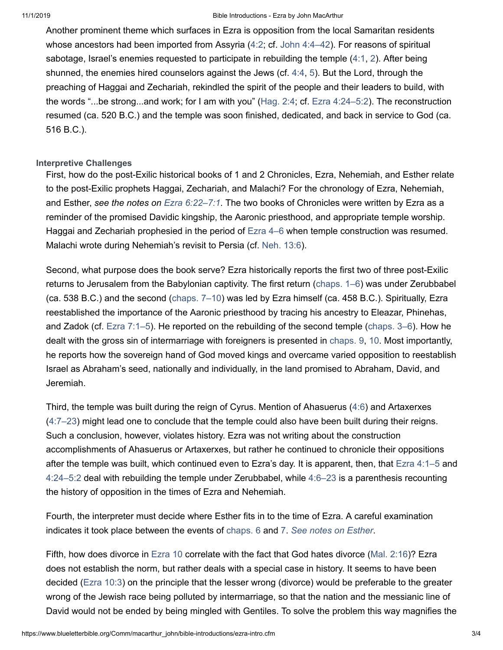#### 11/1/2019 Bible Introductions - Ezra by John MacArthur

Another prominent theme which surfaces in Ezra is opposition from the local Samaritan residents whose ancestors had been imported from Assyria ([4:2;](https://www.blueletterbible.org/kjv/ezra/4/2/s_407002) cf. [John 4:4–42](https://www.blueletterbible.org/kjv/john/4/4-42/s_1001004)). For reasons of spiritual sabotage, Israel's enemies requested to participate in rebuilding the temple ([4:1,](https://www.blueletterbible.org/kjv/ezra/4/1/s_407001) [2](https://www.blueletterbible.org/kjv/ezra/4/2/s_407002)). After being shunned, the enemies hired counselors against the Jews (cf. [4:4,](https://www.blueletterbible.org/kjv/ezra/4/4/s_407004) [5](https://www.blueletterbible.org/kjv/ezra/4/5/s_407005)). But the Lord, through the preaching of Haggai and Zechariah, rekindled the spirit of the people and their leaders to build, with the words "...be strong...and work; for I am with you" ([Hag. 2:4;](https://www.blueletterbible.org/kjv/haggai/2/4/s_911004) cf. [Ezra 4:24–5:2\)](https://www.blueletterbible.org/kjv/ezra/4/24-24/s_407024). The reconstruction resumed (ca. 520 B.C.) and the temple was soon finished, dedicated, and back in service to God (ca. 516 B.C.).

#### <span id="page-3-0"></span>**Interpretive Challenges**

First, how do the post-Exilic historical books of 1 and 2 Chronicles, Ezra, Nehemiah, and Esther relate to the post-Exilic prophets Haggai, Zechariah, and Malachi? For the chronology of Ezra, Nehemiah, and Esther, *see the notes on [Ezra 6:22–7:1](https://www.blueletterbible.org/kjv/ezra/6/22-22/s_409022)*. The two books of Chronicles were written by Ezra as a reminder of the promised Davidic kingship, the Aaronic priesthood, and appropriate temple worship. Haggai and Zechariah prophesied in the period of [Ezra 4–6](https://www.blueletterbible.org/kjv/ezra/4/1-24/s_407001) when temple construction was resumed. Malachi wrote during Nehemiah's revisit to Persia (cf. [Neh. 13:6\)](https://www.blueletterbible.org/kjv/nehemiah/13/6/s_426006).

Second, what purpose does the book serve? Ezra historically reports the first two of three post-Exilic returns to Jerusalem from the Babylonian captivity. The first return [\(chaps. 1–6](https://www.blueletterbible.org/kjv/ezra/1/1-11/s_404001)) was under Zerubbabel (ca. 538 B.C.) and the second ([chaps. 7–10\)](https://www.blueletterbible.org/kjv/ezra/7/1-28/s_410001) was led by Ezra himself (ca. 458 B.C.). Spiritually, Ezra reestablished the importance of the Aaronic priesthood by tracing his ancestry to Eleazar, Phinehas, and Zadok (cf. [Ezra 7:1–5\)](https://www.blueletterbible.org/kjv/ezra/7/1-5/s_410001). He reported on the rebuilding of the second temple ([chaps. 3–6\)](https://www.blueletterbible.org/kjv/ezra/3/1-13/s_406001). How he dealt with the gross sin of intermarriage with foreigners is presented in [chaps. 9](https://www.blueletterbible.org/kjv/ezra/9/1-15/s_412001), [10.](https://www.blueletterbible.org/kjv/ezra/10/1-44/s_413001) Most importantly, he reports how the sovereign hand of God moved kings and overcame varied opposition to reestablish Israel as Abraham's seed, nationally and individually, in the land promised to Abraham, David, and Jeremiah.

Third, the temple was built during the reign of Cyrus. Mention of Ahasuerus ([4:6](https://www.blueletterbible.org/kjv/ezra/4/6/s_407006)) and Artaxerxes ([4:7–23\)](https://www.blueletterbible.org/kjv/ezra/4/7-23/s_407007) might lead one to conclude that the temple could also have been built during their reigns. Such a conclusion, however, violates history. Ezra was not writing about the construction accomplishments of Ahasuerus or Artaxerxes, but rather he continued to chronicle their oppositions after the temple was built, which continued even to Ezra's day. It is apparent, then, that [Ezra 4:1–5](https://www.blueletterbible.org/kjv/ezra/4/1-5/s_407001) and [4:24–5:2](https://www.blueletterbible.org/kjv/ezra/4/24-24/s_407024) deal with rebuilding the temple under Zerubbabel, while [4:6–23](https://www.blueletterbible.org/kjv/ezra/4/6-23/s_407006) is a parenthesis recounting the history of opposition in the times of Ezra and Nehemiah.

Fourth, the interpreter must decide where Esther fits in to the time of Ezra. A careful examination indicates it took place between the events of [chaps. 6](https://www.blueletterbible.org/kjv/ezra/6/1-22/s_409001) and [7](https://www.blueletterbible.org/kjv/ezra/7/1-28/s_410001). *[See notes on Esther](https://www.blueletterbible.org/Comm/macarthur_john/bible-introductions/17_Esther.cfm)*.

Fifth, how does divorce in [Ezra 10](https://www.blueletterbible.org/kjv/ezra/10/1-44/s_413001) correlate with the fact that God hates divorce ([Mal. 2:16](https://www.blueletterbible.org/kjv/malachi/2/16/s_927016))? Ezra does not establish the norm, but rather deals with a special case in history. It seems to have been decided ([Ezra 10:3\)](https://www.blueletterbible.org/kjv/ezra/10/3/s_413003) on the principle that the lesser wrong (divorce) would be preferable to the greater wrong of the Jewish race being polluted by intermarriage, so that the nation and the messianic line of David would not be ended by being mingled with Gentiles. To solve the problem this way magnifies the